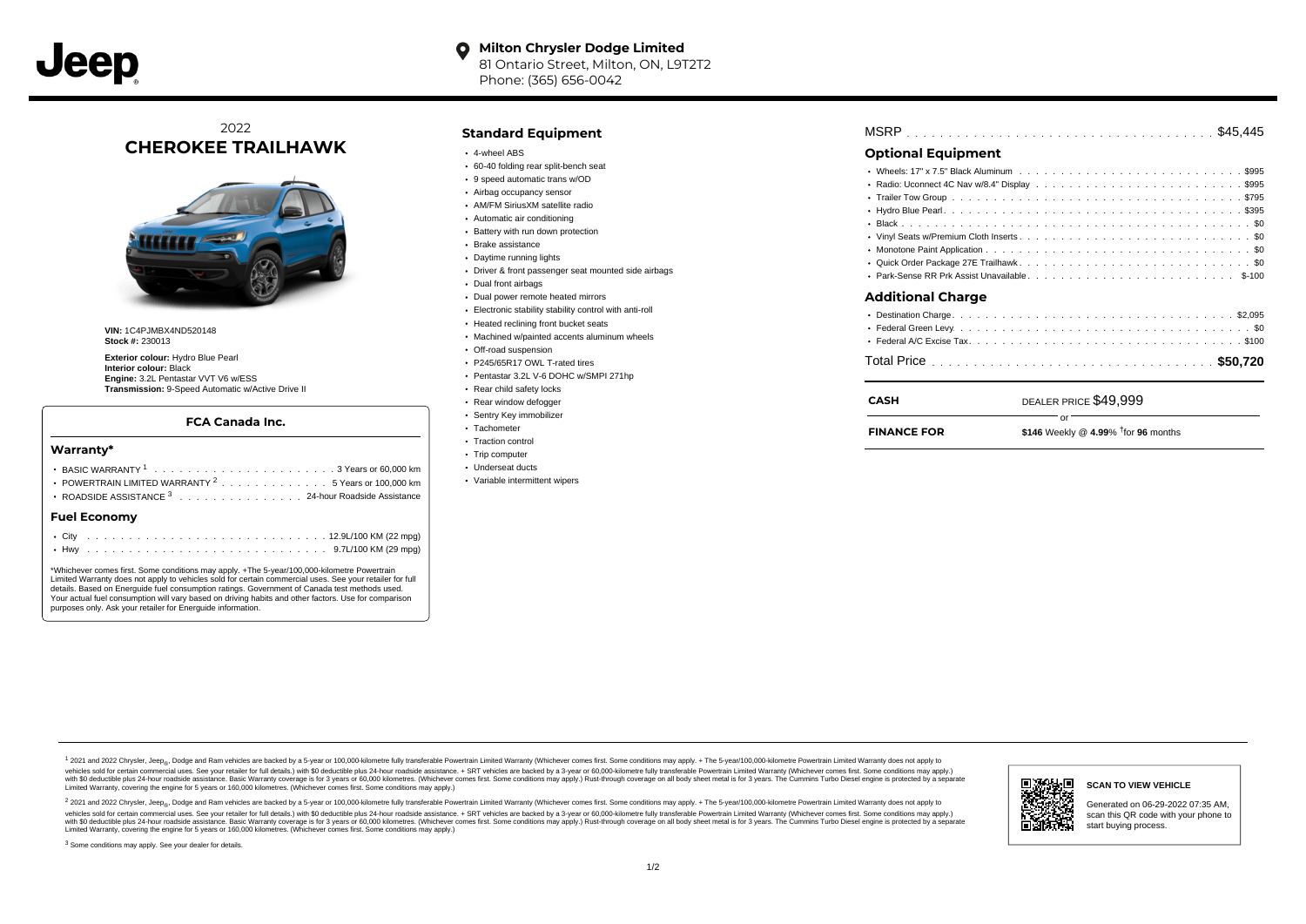# 2022 **CHEROKEE TRAILHAWK**



**VIN:** 1C4PJMBX4ND520148 **Stock #:** 230013

**Exterior colour:** Hydro Blue Pearl **Interior colour:** Black **Engine:** 3.2L Pentastar VVT V6 w/ESS **Transmission:** 9-Speed Automatic w/Active Drive II

## **FCA Canada Inc.**

#### **Warranty\***

| Fuel Fronomy                                                                           |
|----------------------------------------------------------------------------------------|
| • ROADSIDE ASSISTANCE 3 24-hour Roadside Assistance                                    |
| POWERTRAIN LIMITED WARRANTY $2, \ldots, \ldots, \ldots, \ldots, 5$ Years or 100.000 km |
|                                                                                        |
|                                                                                        |

#### **Fuel Economy**

\*Whichever comes first. Some conditions may apply. +The 5-year/100,000-kilometre Powertrain Limited Warranty does not apply to vehicles sold for certain commercial uses. See your retailer for full details. Based on Energuide fuel consumption ratings. Government of Canada test methods used. Your actual fuel consumption will vary based on driving habits and other factors. Use for comparison purposes only. Ask your retailer for Energuide information.

## **Standard Equipment**

- 4-wheel ABS
- 60-40 folding rear split-bench seat
- 9 speed automatic trans w/OD
- Airbag occupancy sensor
- AM/FM SiriusXM satellite radio
- Automatic air conditioning
- Battery with run down protection
- Brake assistance
- Daytime running lights
- Driver & front passenger seat mounted side airbags
- Dual front airbags
- Dual power remote heated mirrors
- Electronic stability stability control with anti-roll
- Heated reclining front bucket seats
- Machined w/painted accents aluminum wheels
- Off-road suspension
- P245/65R17 OWL T-rated tires
- Pentastar 3.2L V-6 DOHC w/SMPI 271hp
- Rear child safety locks
- Rear window defogger
- Sentry Key immobilizer Tachometer
- Traction control
- Trip computer
- Underseat ducts
- Variable intermittent wipers

| MSRP |  |  |  |  |  |  |  |  |  |  |  |  |  |  |  |  |  |  |  |  |  |  |  |  |  |  |  |  |  |  |  |  |  |  |  |  |  |  |  |  |  |  |  |  |  |
|------|--|--|--|--|--|--|--|--|--|--|--|--|--|--|--|--|--|--|--|--|--|--|--|--|--|--|--|--|--|--|--|--|--|--|--|--|--|--|--|--|--|--|--|--|--|
|------|--|--|--|--|--|--|--|--|--|--|--|--|--|--|--|--|--|--|--|--|--|--|--|--|--|--|--|--|--|--|--|--|--|--|--|--|--|--|--|--|--|--|--|--|--|

# **Optional Equipment**

| Additional Charge |  |
|-------------------|--|
|                   |  |
|                   |  |
|                   |  |
|                   |  |

| CASH               | DEALER PRICE \$49,999                            |  |
|--------------------|--------------------------------------------------|--|
| <b>FINANCE FOR</b> | \$146 Weekly @ 4.99% $\frac{1}{1}$ for 96 months |  |

1 2021 and 2022 Chrysler, Jeep<sub>en</sub> Dodge and Ram vehicles are backed by a 5-year or 100,000-kilometre fully transferable Powertrain Limited Warranty (Whichever comes first. Some conditions may apply. + The 5-year/100,000-k vehicles sold for certain commercial uses. See your retailer for full details.) with \$0 deductible plus 24-hour roadside assistance. + SRT vehicles are backed by a 3-year or 60,000-kilometre fully transferable Powertrain L versus and contract the mean of the contract of the contract with a contract with a contract the contract of the search of the contract and a control of the contract and contract and control of the search of the search of Limited Warranty, covering the engine for 5 years or 160,000 kilometres. (Whichever comes first. Some conditions may apply.)

<sup>2</sup> 2021 and 2022 Chrysler, Jeep<sub>®</sub>, Dodge and Ram vehicles are backed by a 5-year or 100,000-kilometre fully transferable Powertrain Limited Warranty (Whichever comes first. Some conditions may apply. + The 5-year/100,000 vehicles sold for certain commercial uses. See your retailer for full details.) with SO deductible plus 24-hour roadside assistance. + SRT vehicles are backed by a 3-year or 60.000-kilometre fully transferable Powertrain L with S0 deductible plus 24-hour roadside assistance. Basic Warranty coverage is for 3 years or 60,000 kilometres. (Whichever comes first. Some conditions may apply.) Rust-through coverage on all body sheet metal is for 3 y



### **SCAN TO VIEW VEHICLE**

Generated on 06-29-2022 07:35 AM, scan this QR code with your phone to start buying process.

<sup>3</sup> Some conditions may apply. See your dealer for details.